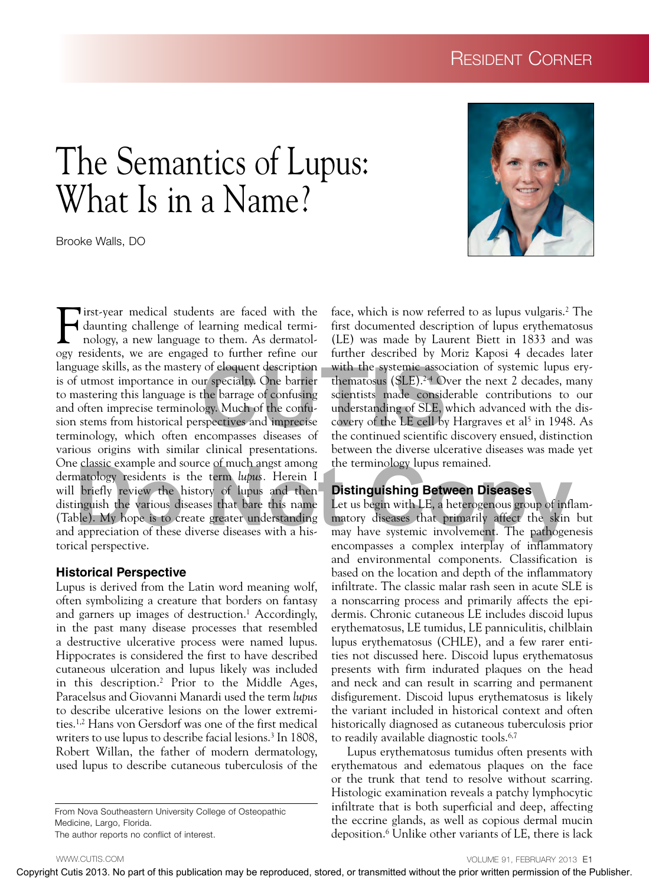## Resident Corner

# The Semantics of Lupus: What Is in a Name?

Brooke Walls, DO

Inst-year medical students are faced with the daunting challenge of learning medical terminology, a new language to them. As dermatology residents, we are engaged to further refine our irst-year medical students are faced with the daunting challenge of learning medical terminology, a new language to them. As dermatollanguage skills, as the mastery of eloquent description is of utmost importance in our specialty. One barrier to mastering this language is the barrage of confusing and often imprecise terminology. Much of the confusion stems from historical perspectives and imprecise terminology, which often encompasses diseases of various origins with similar clinical presentations. One classic example and source of much angst among dermatology residents is the term *lupus.* Herein I will briefly review the history of lupus and then distinguish the various diseases that bare this name (Table). My hope is to create greater understanding and appreciation of these diverse diseases with a historical perspective. matology residents is the term *lupus*. Herein I<br>briefly review the history of lupus and then **Distinguishing Between Diseases**<br>inguish the various diseases that bare this name Let us begin with LE, a heterogenous group of

#### **Historical Perspective**

Lupus is derived from the Latin word meaning wolf, often symbolizing a creature that borders on fantasy and garners up images of destruction.<sup>1</sup> Accordingly, in the past many disease processes that resembled a destructive ulcerative process were named lupus. Hippocrates is considered the first to have described cutaneous ulceration and lupus likely was included in this description.2 Prior to the Middle Ages, Paracelsus and Giovanni Manardi used the term *lupus* to describe ulcerative lesions on the lower extremities.1,2 Hans von Gersdorf was one of the first medical writers to use lupus to describe facial lesions.<sup>3</sup> In 1808, Robert Willan, the father of modern dermatology, used lupus to describe cutaneous tuberculosis of the

face, which is now referred to as lupus vulgaris.2 The first documented description of lupus erythematosus (LE) was made by Laurent Biett in 1833 and was further described by Moriz Kaposi 4 decades later with the systemic association of systemic lupus erythematosus (SLE).2-4 Over the next 2 decades, many scientists made considerable contributions to our understanding of SLE, which advanced with the discovery of the LE cell by Hargraves et al<sup>5</sup> in 1948. As the continued scientific discovery ensued, distinction between the diverse ulcerative diseases was made yet the terminology lupus remained.

#### **Distinguishing Between Diseases**

Let us begin with LE, a heterogenous group of inflammatory diseases that primarily affect the skin but may have systemic involvement. The pathogenesis encompasses a complex interplay of inflammatory and environmental components. Classification is based on the location and depth of the inflammatory infiltrate. The classic malar rash seen in acute SLE is a nonscarring process and primarily affects the epidermis. Chronic cutaneous LE includes discoid lupus erythematosus, LE tumidus, LE panniculitis, chilblain lupus erythematosus (CHLE), and a few rarer entities not discussed here. Discoid lupus erythematosus presents with firm indurated plaques on the head and neck and can result in scarring and permanent disfigurement. Discoid lupus erythematosus is likely the variant included in historical context and often historically diagnosed as cutaneous tuberculosis prior to readily available diagnostic tools.<sup>6,7</sup> In the may be restricted to the control or the store is a more of the control or specific the may be reproduced with the control or transmitted with the control or transmitted with the control or transmitted with the stren

Lupus erythematosus tumidus often presents with erythematous and edematous plaques on the face or the trunk that tend to resolve without scarring. Histologic examination reveals a patchy lymphocytic infiltrate that is both superficial and deep, affecting the eccrine glands, as well as copious dermal mucin deposition.6 Unlike other variants of LE, there is lack



From Nova Southeastern University College of Osteopathic Medicine, Largo, Florida. The author reports no conflict of interest.

VOLUME 91, FEBRUARY 2013 E1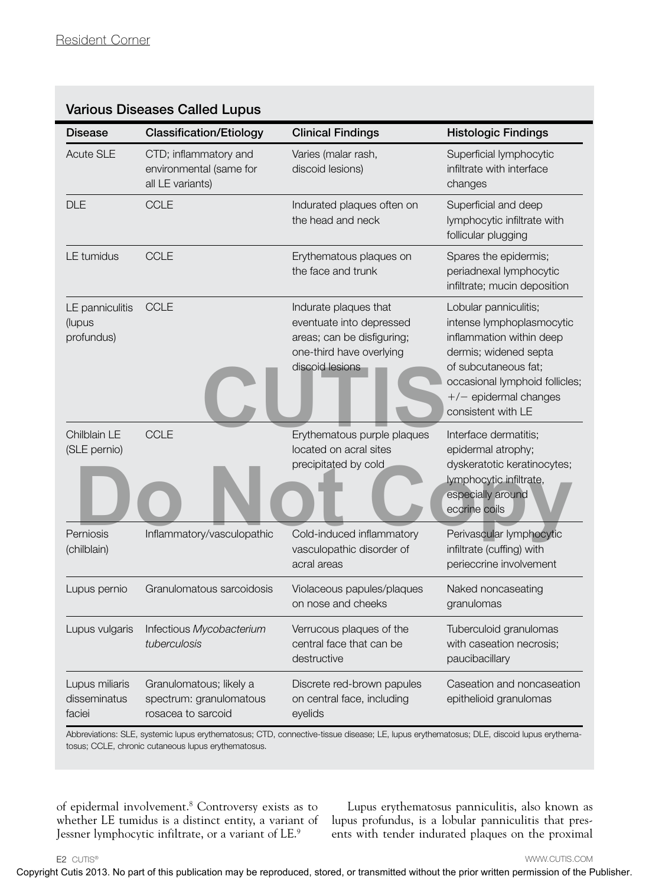### Various Diseases Called Lupus

| <b>Acute SLE</b>                         | <b>Classification/Etiology</b><br>CTD; inflammatory and<br>environmental (same for<br>all LE variants)                                                                                                                                              | <b>Clinical Findings</b><br>Varies (malar rash,<br>discoid lesions)                                                                                                                           | <b>Histologic Findings</b><br>Superficial lymphocytic<br>infiltrate with interface<br>changes                                                                                                                      |
|------------------------------------------|-----------------------------------------------------------------------------------------------------------------------------------------------------------------------------------------------------------------------------------------------------|-----------------------------------------------------------------------------------------------------------------------------------------------------------------------------------------------|--------------------------------------------------------------------------------------------------------------------------------------------------------------------------------------------------------------------|
| <b>DLE</b>                               | <b>CCLE</b>                                                                                                                                                                                                                                         | Indurated plaques often on<br>the head and neck                                                                                                                                               | Superficial and deep<br>lymphocytic infiltrate with<br>follicular plugging                                                                                                                                         |
| LE tumidus                               | <b>CCLE</b>                                                                                                                                                                                                                                         | Erythematous plaques on<br>the face and trunk                                                                                                                                                 | Spares the epidermis;<br>periadnexal lymphocytic<br>infiltrate; mucin deposition                                                                                                                                   |
| LE panniculitis<br>(lupus<br>profundus)  | <b>CCLE</b>                                                                                                                                                                                                                                         | Indurate plaques that<br>eventuate into depressed<br>areas; can be disfiguring;<br>one-third have overlying<br>discoid lesions                                                                | Lobular panniculitis;<br>intense lymphoplasmocytic<br>inflammation within deep<br>dermis; widened septa<br>of subcutaneous fat;<br>occasional lymphoid follicles;<br>$+/-$ epidermal changes<br>consistent with LE |
| Chilblain LE<br>(SLE pernio)             | <b>CCLE</b>                                                                                                                                                                                                                                         | Erythematous purple plaques<br>located on acral sites<br>precipitated by cold                                                                                                                 | Interface dermatitis;<br>epidermal atrophy;<br>dyskeratotic keratinocytes;<br>lymphocytic infiltrate,<br>especially around<br>eccrine coils                                                                        |
| Perniosis<br>(chilblain)                 | Inflammatory/vasculopathic                                                                                                                                                                                                                          | Cold-induced inflammatory<br>vasculopathic disorder of<br>acral areas                                                                                                                         | Perivascular lymphocytic<br>infiltrate (cuffing) with<br>perieccrine involvement                                                                                                                                   |
| Lupus pernio                             | Granulomatous sarcoidosis                                                                                                                                                                                                                           | Violaceous papules/plaques<br>on nose and cheeks                                                                                                                                              | Naked noncaseating<br>granulomas                                                                                                                                                                                   |
|                                          | Lupus vulgaris Infectious Mycobacterium<br>tuberculosis                                                                                                                                                                                             | Verrucous plaques of the<br>central face that can be<br>destructive                                                                                                                           | Tuberculoid granulomas<br>with caseation necrosis;<br>paucibacillary                                                                                                                                               |
| Lupus miliaris<br>disseminatus<br>faciei | Granulomatous; likely a<br>spectrum: granulomatous<br>rosacea to sarcoid                                                                                                                                                                            | Discrete red-brown papules<br>on central face, including<br>eyelids                                                                                                                           | Caseation and noncaseation<br>epithelioid granulomas                                                                                                                                                               |
|                                          | tosus; CCLE, chronic cutaneous lupus erythematosus.<br>of epidermal involvement. <sup>8</sup> Controversy exists as to<br>whether LE tumidus is a distinct entity, a variant of<br>Jessner lymphocytic infiltrate, or a variant of LE. <sup>9</sup> | Abbreviations: SLE, systemic lupus erythematosus; CTD, connective-tissue disease; LE, lupus erythematosus; DLE, discoid lupus erythema-<br>ents with tender indurated plaques on the proximal | Lupus erythematosus panniculitis, also known as<br>lupus profundus, is a lobular panniculitis that pres-                                                                                                           |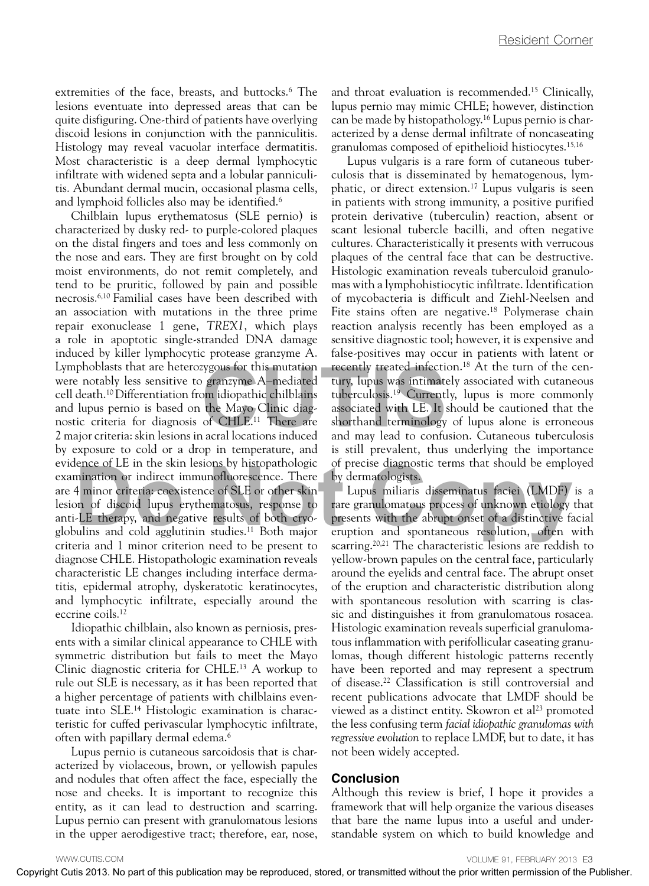extremities of the face, breasts, and buttocks.<sup>6</sup> The lesions eventuate into depressed areas that can be quite disfiguring. One-third of patients have overlying discoid lesions in conjunction with the panniculitis. Histology may reveal vacuolar interface dermatitis. Most characteristic is a deep dermal lymphocytic infiltrate with widened septa and a lobular panniculitis. Abundant dermal mucin, occasional plasma cells, and lymphoid follicles also may be identified.<sup>6</sup>

Chilblain lupus erythematosus (SLE pernio) is characterized by dusky red- to purple-colored plaques on the distal fingers and toes and less commonly on the nose and ears. They are first brought on by cold moist environments, do not remit completely, and tend to be pruritic, followed by pain and possible necrosis.6,10 Familial cases have been described with an association with mutations in the three prime repair exonuclease 1 gene, *TREX1*, which plays a role in apoptotic single-stranded DNA damage induced by killer lymphocytic protease granzyme A. Lymphoblasts that are heterozygous for this mutation were notably less sensitive to granzyme A–mediated cell death.10 Differentiation from idiopathic chilblains and lupus pernio is based on the Mayo Clinic diagnostic criteria for diagnosis of CHLE.11 There are 2 major criteria: skin lesions in acral locations induced by exposure to cold or a drop in temperature, and evidence of LE in the skin lesions by histopathologic examination or indirect immunofluorescence. There are 4 minor criteria: coexistence of SLE or other skin lesion of discoid lupus erythematosus, response to anti-LE therapy, and negative results of both cryoglobulins and cold agglutinin studies.11 Both major criteria and 1 minor criterion need to be present to diagnose CHLE. Histopathologic examination reveals characteristic LE changes including interface dermatitis, epidermal atrophy, dyskeratotic keratinocytes, and lymphocytic infiltrate, especially around the eccrine coils.12 wination or indirect immunofluorescence. There by dermatologists.<br>4 minor criteria: coexistence of SLE or other skin Lupus miliaris disseminatus faciei (LMDF)<br>2. Do not discoid lupus erythematosus, response to rare granulo

Idiopathic chilblain, also known as perniosis, presents with a similar clinical appearance to CHLE with symmetric distribution but fails to meet the Mayo Clinic diagnostic criteria for CHLE.13 A workup to rule out SLE is necessary, as it has been reported that a higher percentage of patients with chilblains eventuate into SLE.14 Histologic examination is characteristic for cuffed perivascular lymphocytic infiltrate, often with papillary dermal edema.6

Lupus pernio is cutaneous sarcoidosis that is characterized by violaceous, brown, or yellowish papules and nodules that often affect the face, especially the nose and cheeks. It is important to recognize this entity, as it can lead to destruction and scarring. Lupus pernio can present with granulomatous lesions in the upper aerodigestive tract; therefore, ear, nose, and throat evaluation is recommended.15 Clinically, lupus pernio may mimic CHLE; however, distinction can be made by histopathology.16 Lupus pernio is characterized by a dense dermal infiltrate of noncaseating granulomas composed of epithelioid histiocytes.15,16

Lupus vulgaris is a rare form of cutaneous tuberculosis that is disseminated by hematogenous, lymphatic, or direct extension.17 Lupus vulgaris is seen in patients with strong immunity, a positive purified protein derivative (tuberculin) reaction, absent or scant lesional tubercle bacilli, and often negative cultures. Characteristically it presents with verrucous plaques of the central face that can be destructive. Histologic examination reveals tuberculoid granulomas with a lymphohistiocytic infiltrate. Identification of mycobacteria is difficult and Ziehl-Neelsen and Fite stains often are negative.<sup>18</sup> Polymerase chain reaction analysis recently has been employed as a sensitive diagnostic tool; however, it is expensive and false-positives may occur in patients with latent or recently treated infection.<sup>18</sup> At the turn of the century, lupus was intimately associated with cutaneous tuberculosis.19 Currently, lupus is more commonly associated with LE. It should be cautioned that the shorthand terminology of lupus alone is erroneous and may lead to confusion. Cutaneous tuberculosis is still prevalent, thus underlying the importance of precise diagnostic terms that should be employed by dermatologists.

Lupus miliaris disseminatus faciei (LMDF) is a rare granulomatous process of unknown etiology that presents with the abrupt onset of a distinctive facial eruption and spontaneous resolution, often with scarring.<sup>20,21</sup> The characteristic lesions are reddish to yellow-brown papules on the central face, particularly around the eyelids and central face. The abrupt onset of the eruption and characteristic distribution along with spontaneous resolution with scarring is classic and distinguishes it from granulomatous rosacea. Histologic examination reveals superficial granulomatous inflammation with perifollicular caseating granulomas, though different histologic patterns recently have been reported and may represent a spectrum of disease.22 Classification is still controversial and recent publications advocate that LMDF should be viewed as a distinct entity. Skowron et  $al<sup>23</sup>$  promoted the less confusing term *facial idiopathic granulomas with regressive evolution* to replace LMDF, but to date, it has not been widely accepted. Copyright Cutis 2013. The transmit Cutis 2013. No part of the Constraints Cutis 2013. No part of the Publication may be reproduced the prior or transmitted with the prior or transmitted with Cutis 2013. No part of the Publ

#### **Conclusion**

Although this review is brief, I hope it provides a framework that will help organize the various diseases that bare the name lupus into a useful and understandable system on which to build knowledge and